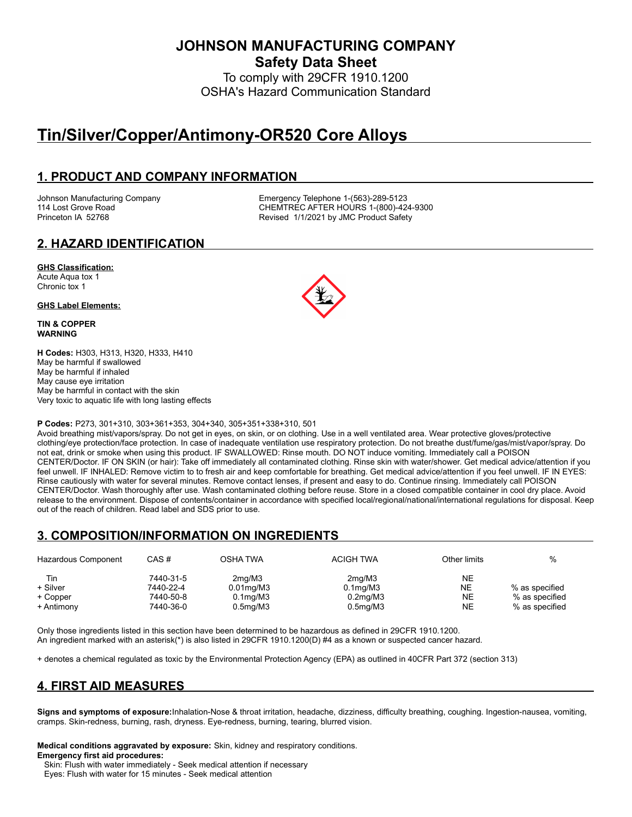**JOHNSON MANUFACTURING COMPANY**

**Safety Data Sheet**

To comply with 29CFR 1910.1200 OSHA's Hazard Communication Standard

# **Tin/Silver/Copper/Antimony-OR520 Core Alloys**

# **1. PRODUCT AND COMPANY INFORMATION**

Johnson Manufacturing Company **Emergency Telephone 1-(563)-289-5123**<br>114 Lost Grove Road **CHEMTREC AFTER HOURS 1-(800)-42** CHEMTREC AFTER HOURS 1-(800)-424-9300 Princeton IA 52768 **Revised 1/1/2021 by JMC Product Safety** 

# **2. HAZARD IDENTIFICATION**

#### **GHS Classification:**

Acute Aqua tox 1 Chronic tox 1

#### **GHS Label Elements:**

**TIN & COPPER WARNING**

**H Codes:** H303, H313, H320, H333, H410 May be harmful if swallowed May be harmful if inhaled May cause eye irritation May be harmful in contact with the skin Very toxic to aquatic life with long lasting effects

#### **P Codes:** P273, 301+310, 303+361+353, 304+340, 305+351+338+310, 501

Avoid breathing mist/vapors/spray. Do not get in eyes, on skin, or on clothing. Use in a well ventilated area. Wear protective gloves/protective clothing/eye protection/face protection. In case of inadequate ventilation use respiratory protection. Do not breathe dust/fume/gas/mist/vapor/spray. Do not eat, drink or smoke when using this product. IF SWALLOWED: Rinse mouth. DO NOT induce vomiting. Immediately call a POISON CENTER/Doctor. IF ON SKIN (or hair): Take off immediately all contaminated clothing. Rinse skin with water/shower. Get medical advice/attention if you feel unwell. IF INHALED: Remove victim to to fresh air and keep comfortable for breathing. Get medical advice/attention if you feel unwell. IF IN EYES: Rinse cautiously with water for several minutes. Remove contact lenses, if present and easy to do. Continue rinsing. Immediately call POISON CENTER/Doctor. Wash thoroughly after use. Wash contaminated clothing before reuse. Store in a closed compatible container in cool dry place. Avoid release to the environment. Dispose of contents/container in accordance with specified local/regional/national/international regulations for disposal. Keep out of the reach of children. Read label and SDS prior to use.

# **3. COMPOSITION/INFORMATION ON INGREDIENTS**

| Hazardous Component | CAS#      | OSHA TWA              | ACIGH TWA             | Other limits | %              |
|---------------------|-----------|-----------------------|-----------------------|--------------|----------------|
| Tin                 | 7440-31-5 | 2ma/M3                | 2mq/M3                | <b>NE</b>    |                |
| + Silver            | 7440-22-4 | $0.01$ mg/M $3$       | 0.1 <sub>mq</sub> /M3 | NΕ           | % as specified |
| + Copper            | 7440-50-8 | 0.1 <sub>mq</sub> /M3 | 0.2 <sub>mq</sub> /M3 | <b>NE</b>    | % as specified |
| + Antimony          | 7440-36-0 | 0.5 <sub>mg</sub> /M3 | 0.5 <sub>mq</sub> /M3 | NE           | % as specified |

Only those ingredients listed in this section have been determined to be hazardous as defined in 29CFR 1910.1200. An ingredient marked with an asterisk(\*) is also listed in 29CFR 1910.1200(D) #4 as a known or suspected cancer hazard.

+ denotes a chemical regulated as toxic by the Environmental Protection Agency (EPA) as outlined in 40CFR Part 372 (section 313)

# **4. FIRST AID MEASURES**

**Signs and symptoms of exposure:**Inhalation-Nose & throat irritation, headache, dizziness, difficulty breathing, coughing. Ingestion-nausea, vomiting, cramps. Skin-redness, burning, rash, dryness. Eye-redness, burning, tearing, blurred vision.

**Medical conditions aggravated by exposure:** Skin, kidney and respiratory conditions. **Emergency first aid procedures:**

Skin: Flush with water immediately - Seek medical attention if necessary

Eyes: Flush with water for 15 minutes - Seek medical attention

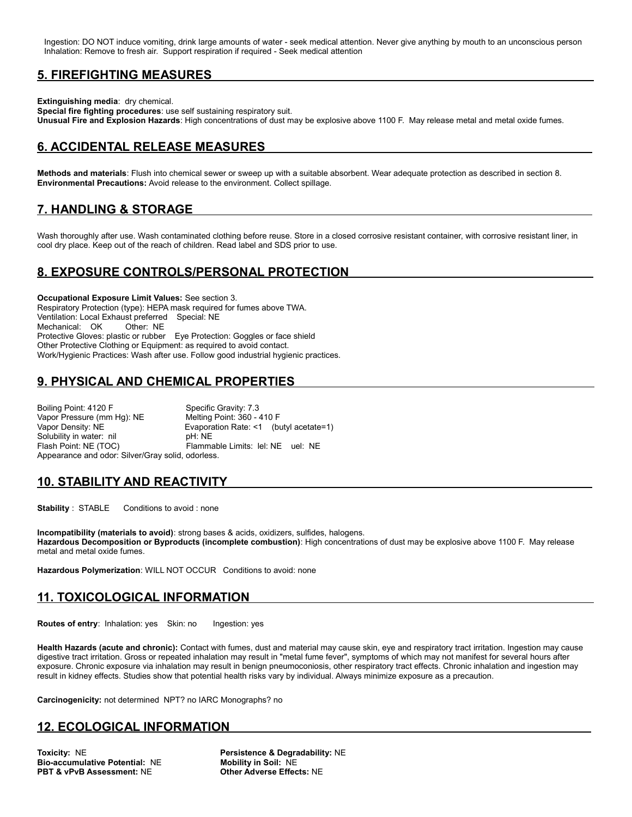Ingestion: DO NOT induce vomiting, drink large amounts of water - seek medical attention. Never give anything by mouth to an unconscious person Inhalation: Remove to fresh air. Support respiration if required - Seek medical attention

### **5. FIREFIGHTING MEASURES**

**Extinguishing media**: dry chemical.

**Special fire fighting procedures**: use self sustaining respiratory suit. **Unusual Fire and Explosion Hazards**: High concentrations of dust may be explosive above 1100 F. May release metal and metal oxide fumes.

# **6. ACCIDENTAL RELEASE MEASURES**

**Methods and materials**: Flush into chemical sewer or sweep up with a suitable absorbent. Wear adequate protection as described in section 8. **Environmental Precautions:** Avoid release to the environment. Collect spillage.

# **7. HANDLING & STORAGE**

Wash thoroughly after use. Wash contaminated clothing before reuse. Store in a closed corrosive resistant container, with corrosive resistant liner, in cool dry place. Keep out of the reach of children. Read label and SDS prior to use.

# **8. EXPOSURE CONTROLS/PERSONAL PROTECTION**

**Occupational Exposure Limit Values:** See section 3. Respiratory Protection (type): HEPA mask required for fumes above TWA. Ventilation: Local Exhaust preferred Special: NE Mechanical: OK Other: NE Protective Gloves: plastic or rubber Eye Protection: Goggles or face shield Other Protective Clothing or Equipment: as required to avoid contact. Work/Hygienic Practices: Wash after use. Follow good industrial hygienic practices.

#### **9. PHYSICAL AND CHEMICAL PROPERTIES**

Boiling Point: 4120 F<br>
Vapor Pressure (mm Hg): NE Melting Point: 360 - 410 F Vapor Pressure (mm Hg): NE Vapor Density: NE <br>
Solubility in water: nil <br>
pH: NE<br>
pH: NE Solubility in water: nil Flash Point: NE (TOC) Flammable Limits: lel: NE uel: NE Appearance and odor: Silver/Gray solid, odorless.

#### **10. STABILITY AND REACTIVITY**

**Stability** : STABLE Conditions to avoid : none

**Incompatibility (materials to avoid)**: strong bases & acids, oxidizers, sulfides, halogens. **Hazardous Decomposition or Byproducts (incomplete combustion)**: High concentrations of dust may be explosive above 1100 F. May release metal and metal oxide fumes.

**Hazardous Polymerization**: WILL NOT OCCUR Conditions to avoid: none

#### **11. TOXICOLOGICAL INFORMATION**

**Routes of entry: Inhalation: yes Skin: no Ingestion: yes** 

**Health Hazards (acute and chronic):** Contact with fumes, dust and material may cause skin, eye and respiratory tract irritation. Ingestion may cause digestive tract irritation. Gross or repeated inhalation may result in "metal fume fever", symptoms of which may not manifest for several hours after exposure. Chronic exposure via inhalation may result in benign pneumoconiosis, other respiratory tract effects. Chronic inhalation and ingestion may result in kidney effects. Studies show that potential health risks vary by individual. Always minimize exposure as a precaution.

**Carcinogenicity:** not determined NPT? no IARC Monographs? no

#### **12. ECOLOGICAL INFORMATION**

**Toxicity: NE**<br> **Bio-accumulative Potential: NE**<br> **Robility in Soil: NE**<br> **Mobility in Soil: NE Bio-accumulative Potential: NE PBT & vPvB Assessment:** NE **Other Adverse Effects:** NE